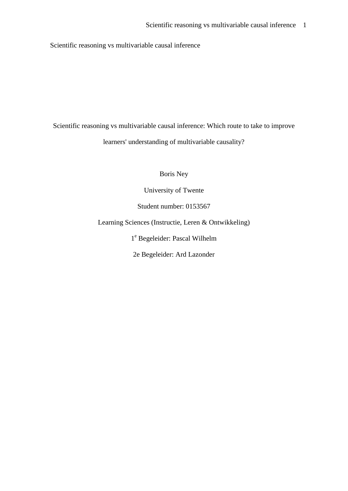Scientific reasoning vs multivariable causal inference

Scientific reasoning vs multivariable causal inference: Which route to take to improve learners' understanding of multivariable causality?

Boris Ney

University of Twente

Student number: 0153567

Learning Sciences (Instructie, Leren & Ontwikkeling)

1 <sup>e</sup> Begeleider: Pascal Wilhelm

2e Begeleider: Ard Lazonder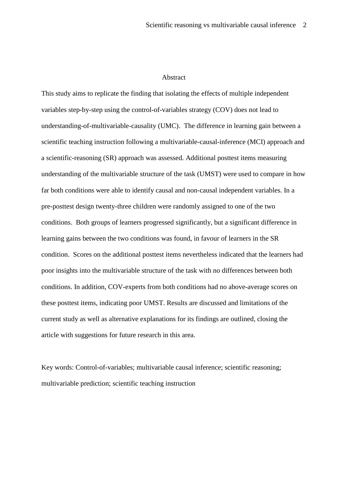#### Abstract

This study aims to replicate the finding that isolating the effects of multiple independent variables step-by-step using the control-of-variables strategy (COV) does not lead to understanding-of-multivariable-causality (UMC). The difference in learning gain between a scientific teaching instruction following a multivariable-causal-inference (MCI) approach and a scientific-reasoning (SR) approach was assessed. Additional posttest items measuring understanding of the multivariable structure of the task (UMST) were used to compare in how far both conditions were able to identify causal and non-causal independent variables. In a pre-posttest design twenty-three children were randomly assigned to one of the two conditions. Both groups of learners progressed significantly, but a significant difference in learning gains between the two conditions was found, in favour of learners in the SR condition. Scores on the additional posttest items nevertheless indicated that the learners had poor insights into the multivariable structure of the task with no differences between both conditions. In addition, COV-experts from both conditions had no above-average scores on these posttest items, indicating poor UMST. Results are discussed and limitations of the current study as well as alternative explanations for its findings are outlined, closing the article with suggestions for future research in this area.

Key words: Control-of-variables; multivariable causal inference; scientific reasoning; multivariable prediction; scientific teaching instruction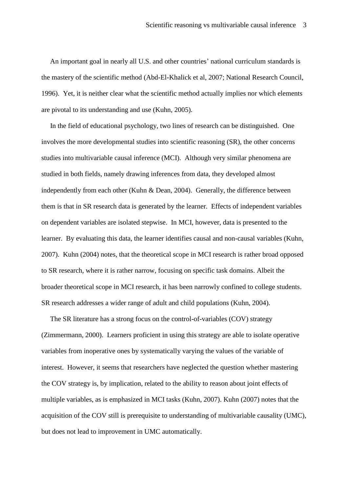An important goal in nearly all U.S. and other countries' national curriculum standards is the mastery of the scientific method (Abd-El-Khalick et al, 2007; National Research Council, 1996). Yet, it is neither clear what the scientific method actually implies nor which elements are pivotal to its understanding and use (Kuhn, 2005).

 In the field of educational psychology, two lines of research can be distinguished. One involves the more developmental studies into scientific reasoning (SR), the other concerns studies into multivariable causal inference (MCI). Although very similar phenomena are studied in both fields, namely drawing inferences from data, they developed almost independently from each other (Kuhn & Dean, 2004). Generally, the difference between them is that in SR research data is generated by the learner. Effects of independent variables on dependent variables are isolated stepwise. In MCI, however, data is presented to the learner. By evaluating this data, the learner identifies causal and non-causal variables (Kuhn, 2007). Kuhn (2004) notes, that the theoretical scope in MCI research is rather broad opposed to SR research, where it is rather narrow, focusing on specific task domains. Albeit the broader theoretical scope in MCI research, it has been narrowly confined to college students. SR research addresses a wider range of adult and child populations (Kuhn, 2004).

 The SR literature has a strong focus on the control-of-variables (COV) strategy (Zimmermann, 2000). Learners proficient in using this strategy are able to isolate operative variables from inoperative ones by systematically varying the values of the variable of interest. However, it seems that researchers have neglected the question whether mastering the COV strategy is, by implication, related to the ability to reason about joint effects of multiple variables, as is emphasized in MCI tasks (Kuhn, 2007). Kuhn (2007) notes that the acquisition of the COV still is prerequisite to understanding of multivariable causality (UMC), but does not lead to improvement in UMC automatically.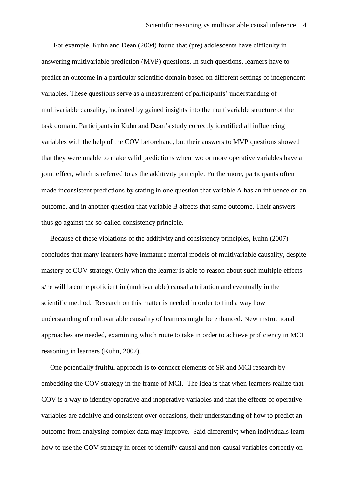For example, Kuhn and Dean (2004) found that (pre) adolescents have difficulty in answering multivariable prediction (MVP) questions. In such questions, learners have to predict an outcome in a particular scientific domain based on different settings of independent variables. These questions serve as a measurement of participants' understanding of multivariable causality, indicated by gained insights into the multivariable structure of the task domain. Participants in Kuhn and Dean's study correctly identified all influencing variables with the help of the COV beforehand, but their answers to MVP questions showed that they were unable to make valid predictions when two or more operative variables have a joint effect, which is referred to as the additivity principle. Furthermore, participants often made inconsistent predictions by stating in one question that variable A has an influence on an outcome, and in another question that variable B affects that same outcome. Their answers thus go against the so-called consistency principle.

 Because of these violations of the additivity and consistency principles, Kuhn (2007) concludes that many learners have immature mental models of multivariable causality, despite mastery of COV strategy. Only when the learner is able to reason about such multiple effects s/he will become proficient in (multivariable) causal attribution and eventually in the scientific method. Research on this matter is needed in order to find a way how understanding of multivariable causality of learners might be enhanced. New instructional approaches are needed, examining which route to take in order to achieve proficiency in MCI reasoning in learners (Kuhn, 2007).

 One potentially fruitful approach is to connect elements of SR and MCI research by embedding the COV strategy in the frame of MCI. The idea is that when learners realize that COV is a way to identify operative and inoperative variables and that the effects of operative variables are additive and consistent over occasions, their understanding of how to predict an outcome from analysing complex data may improve. Said differently; when individuals learn how to use the COV strategy in order to identify causal and non-causal variables correctly on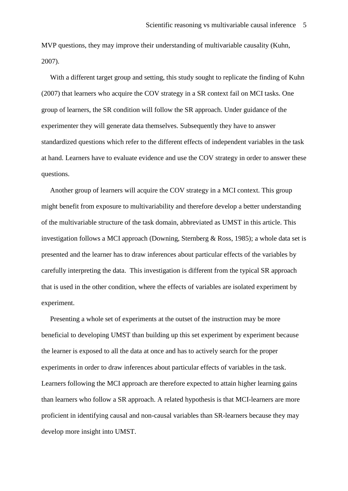MVP questions, they may improve their understanding of multivariable causality (Kuhn, 2007).

 With a different target group and setting, this study sought to replicate the finding of Kuhn (2007) that learners who acquire the COV strategy in a SR context fail on MCI tasks. One group of learners, the SR condition will follow the SR approach. Under guidance of the experimenter they will generate data themselves. Subsequently they have to answer standardized questions which refer to the different effects of independent variables in the task at hand. Learners have to evaluate evidence and use the COV strategy in order to answer these questions.

 Another group of learners will acquire the COV strategy in a MCI context. This group might benefit from exposure to multivariability and therefore develop a better understanding of the multivariable structure of the task domain, abbreviated as UMST in this article. This investigation follows a MCI approach (Downing, Sternberg & Ross, 1985); a whole data set is presented and the learner has to draw inferences about particular effects of the variables by carefully interpreting the data. This investigation is different from the typical SR approach that is used in the other condition, where the effects of variables are isolated experiment by experiment.

 Presenting a whole set of experiments at the outset of the instruction may be more beneficial to developing UMST than building up this set experiment by experiment because the learner is exposed to all the data at once and has to actively search for the proper experiments in order to draw inferences about particular effects of variables in the task. Learners following the MCI approach are therefore expected to attain higher learning gains than learners who follow a SR approach. A related hypothesis is that MCI-learners are more proficient in identifying causal and non-causal variables than SR-learners because they may develop more insight into UMST.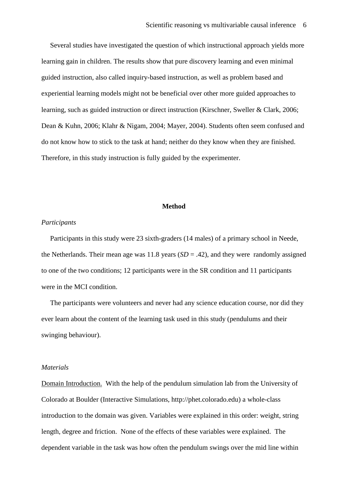Several studies have investigated the question of which instructional approach yields more learning gain in children. The results show that pure discovery learning and even minimal guided instruction, also called inquiry-based instruction, as well as problem based and experiential learning models might not be beneficial over other more guided approaches to learning, such as guided instruction or direct instruction (Kirschner, Sweller & Clark, 2006; Dean & Kuhn, 2006; Klahr & Nigam, 2004; Mayer, 2004). Students often seem confused and do not know how to stick to the task at hand; neither do they know when they are finished. Therefore, in this study instruction is fully guided by the experimenter.

#### **Method**

#### *Participants*

 Participants in this study were 23 sixth-graders (14 males) of a primary school in Neede, the Netherlands. Their mean age was  $11.8$  years  $(SD = .42)$ , and they were randomly assigned to one of the two conditions; 12 participants were in the SR condition and 11 participants were in the MCI condition.

 The participants were volunteers and never had any science education course, nor did they ever learn about the content of the learning task used in this study (pendulums and their swinging behaviour).

#### *Materials*

Domain Introduction. With the help of the pendulum simulation lab from the University of Colorado at Boulder (Interactive Simulations, http://phet.colorado.edu) a whole-class introduction to the domain was given. Variables were explained in this order: weight, string length, degree and friction. None of the effects of these variables were explained. The dependent variable in the task was how often the pendulum swings over the mid line within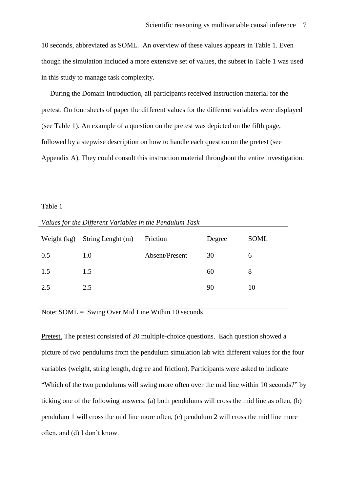10 seconds, abbreviated as SOML. An overview of these values appears in Table 1. Even though the simulation included a more extensive set of values, the subset in Table 1 was used in this study to manage task complexity.

 During the Domain Introduction, all participants received instruction material for the pretest. On four sheets of paper the different values for the different variables were displayed (see Table 1). An example of a question on the pretest was depicted on the fifth page, followed by a stepwise description on how to handle each question on the pretest (see Appendix A). They could consult this instruction material throughout the entire investigation.

#### Table 1

*Values for the Different Variables in the Pendulum Task*

| Weight (kg) | String Lenght (m) | Friction       | Degree | SOML |
|-------------|-------------------|----------------|--------|------|
| 0.5         | 1.0               | Absent/Present | 30     | 6    |
| 1.5         | 1.5               |                | 60     | 8    |
| 2.5         | 2.5               |                | 90     | 10   |
|             |                   |                |        |      |

# Note: SOML = Swing Over Mid Line Within 10 seconds

Pretest. The pretest consisted of 20 multiple-choice questions. Each question showed a picture of two pendulums from the pendulum simulation lab with different values for the four variables (weight, string length, degree and friction). Participants were asked to indicate "Which of the two pendulums will swing more often over the mid line within 10 seconds?" by ticking one of the following answers: (a) both pendulums will cross the mid line as often, (b) pendulum 1 will cross the mid line more often, (c) pendulum 2 will cross the mid line more often, and (d) I don't know.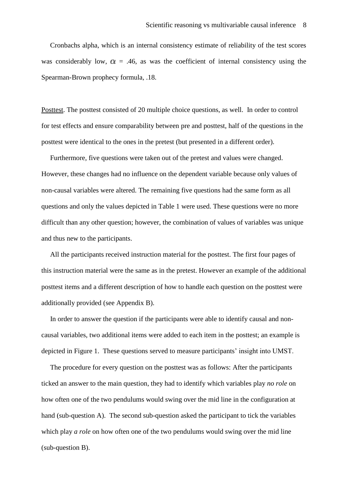Cronbachs alpha, which is an internal consistency estimate of reliability of the test scores was considerably low,  $\alpha$  = .46, as was the coefficient of internal consistency using the Spearman-Brown prophecy formula, .18.

Posttest. The posttest consisted of 20 multiple choice questions, as well. In order to control for test effects and ensure comparability between pre and posttest, half of the questions in the posttest were identical to the ones in the pretest (but presented in a different order).

 Furthermore, five questions were taken out of the pretest and values were changed. However, these changes had no influence on the dependent variable because only values of non-causal variables were altered. The remaining five questions had the same form as all questions and only the values depicted in Table 1 were used. These questions were no more difficult than any other question; however, the combination of values of variables was unique and thus new to the participants.

 All the participants received instruction material for the posttest. The first four pages of this instruction material were the same as in the pretest. However an example of the additional posttest items and a different description of how to handle each question on the posttest were additionally provided (see Appendix B).

 In order to answer the question if the participants were able to identify causal and noncausal variables, two additional items were added to each item in the posttest; an example is depicted in Figure 1. These questions served to measure participants' insight into UMST.

 The procedure for every question on the posttest was as follows: After the participants ticked an answer to the main question, they had to identify which variables play *no role* on how often one of the two pendulums would swing over the mid line in the configuration at hand (sub-question A). The second sub-question asked the participant to tick the variables which play *a role* on how often one of the two pendulums would swing over the mid line (sub-question B).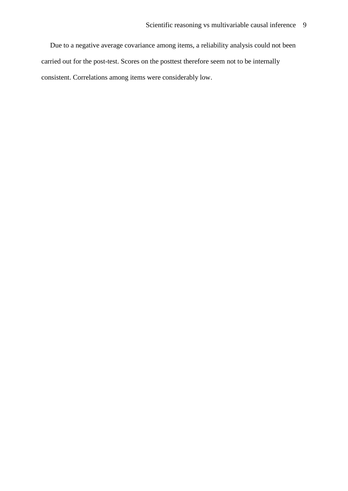Due to a negative average covariance among items, a reliability analysis could not been carried out for the post-test. Scores on the posttest therefore seem not to be internally consistent. Correlations among items were considerably low.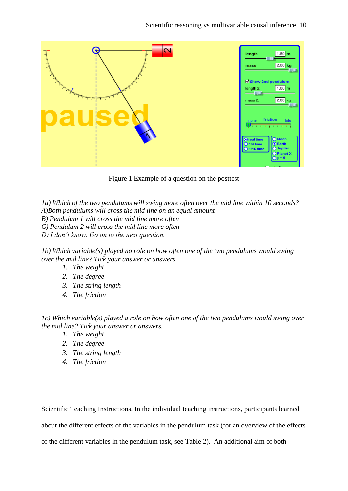| $\overline{\mathbf{C}}$ | $1.50$ <sub>m</sub><br>length<br>$2.00$ kg<br>mass                                                      |
|-------------------------|---------------------------------------------------------------------------------------------------------|
|                         | Show 2nd pendulum<br>$1.00 \text{ m}$<br>length 2:<br>$2.00$ kg<br>mass 2:                              |
|                         | friction<br>lots<br>none<br>ΙE<br><b>CALCUM</b>                                                         |
|                         | O Moon<br>Oreal time<br>$Q$ Earth<br>$O$ 1/4 time<br>O Jupiter<br>O 1/16 time<br>O Planet X<br>$Og = 0$ |

Figure 1 Example of a question on the posttest

*1a) Which of the two pendulums will swing more often over the mid line within 10 seconds? A)Both pendulums will cross the mid line on an equal amount B) Pendulum 1 will cross the mid line more often C) Pendulum 2 will cross the mid line more often D) I don't know. Go on to the next question.* 

*1b) Which variable(s) played no role on how often one of the two pendulums would swing over the mid line? Tick your answer or answers.*

- *1. The weight*
- *2. The degree*
- *3. The string length*
- *4. The friction*

*1c) Which variable(s) played a role on how often one of the two pendulums would swing over the mid line? Tick your answer or answers.*

- *1. The weight*
- *2. The degree*
- *3. The string length*
- *4. The friction*

Scientific Teaching Instructions. In the individual teaching instructions, participants learned

about the different effects of the variables in the pendulum task (for an overview of the effects

of the different variables in the pendulum task, see Table 2). An additional aim of both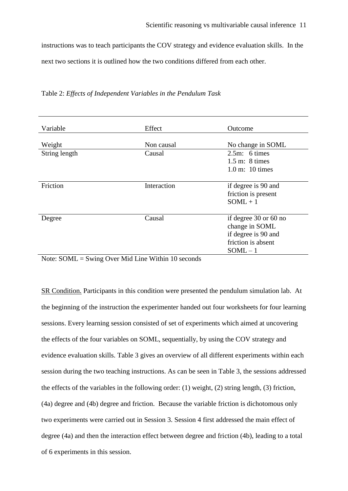instructions was to teach participants the COV strategy and evidence evaluation skills. In the next two sections it is outlined how the two conditions differed from each other.

| Variable                | Effect      | Outcome                                                                                          |
|-------------------------|-------------|--------------------------------------------------------------------------------------------------|
| Weight                  | Non causal  | No change in SOML                                                                                |
| String length           | Causal      | $2.5m$ : 6 times<br>$1.5$ m: 8 times<br>$1.0 \text{ m}$ : 10 times                               |
| Friction                | Interaction | if degree is 90 and<br>friction is present<br>$SOML + 1$                                         |
| Degree<br>$\sim$ $\sim$ | Causal      | if degree 30 or 60 no<br>change in SOML<br>if degree is 90 and<br>friction is absent<br>$SOML-1$ |

|  |  |  | Table 2: Effects of Independent Variables in the Pendulum Task |  |
|--|--|--|----------------------------------------------------------------|--|
|  |  |  |                                                                |  |

Note: SOML = Swing Over Mid Line Within 10 seconds

SR Condition. Participants in this condition were presented the pendulum simulation lab. At the beginning of the instruction the experimenter handed out four worksheets for four learning sessions. Every learning session consisted of set of experiments which aimed at uncovering the effects of the four variables on SOML, sequentially, by using the COV strategy and evidence evaluation skills. Table 3 gives an overview of all different experiments within each session during the two teaching instructions. As can be seen in Table 3, the sessions addressed the effects of the variables in the following order: (1) weight, (2) string length, (3) friction, (4a) degree and (4b) degree and friction. Because the variable friction is dichotomous only two experiments were carried out in Session 3. Session 4 first addressed the main effect of degree (4a) and then the interaction effect between degree and friction (4b), leading to a total of 6 experiments in this session.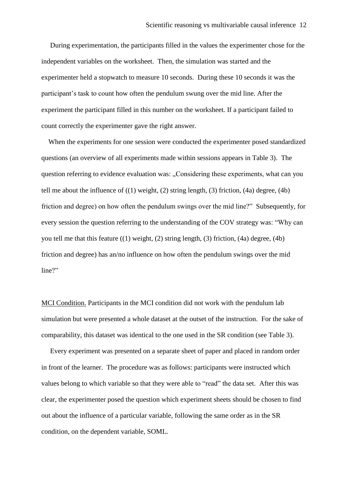During experimentation, the participants filled in the values the experimenter chose for the independent variables on the worksheet. Then, the simulation was started and the experimenter held a stopwatch to measure 10 seconds. During these 10 seconds it was the participant's task to count how often the pendulum swung over the mid line. After the experiment the participant filled in this number on the worksheet. If a participant failed to count correctly the experimenter gave the right answer.

 When the experiments for one session were conducted the experimenter posed standardized questions (an overview of all experiments made within sessions appears in Table 3). The question referring to evidence evaluation was: "Considering these experiments, what can you tell me about the influence of ((1) weight, (2) string length, (3) friction, (4a) degree, (4b) friction and degree) on how often the pendulum swings over the mid line?" Subsequently, for every session the question referring to the understanding of the COV strategy was: "Why can you tell me that this feature  $((1)$  weight,  $(2)$  string length,  $(3)$  friction,  $(4a)$  degree,  $(4b)$ friction and degree) has an/no influence on how often the pendulum swings over the mid line?"

MCI Condition. Participants in the MCI condition did not work with the pendulum lab simulation but were presented a whole dataset at the outset of the instruction. For the sake of comparability, this dataset was identical to the one used in the SR condition (see Table 3).

 Every experiment was presented on a separate sheet of paper and placed in random order in front of the learner. The procedure was as follows: participants were instructed which values belong to which variable so that they were able to "read" the data set. After this was clear, the experimenter posed the question which experiment sheets should be chosen to find out about the influence of a particular variable, following the same order as in the SR condition, on the dependent variable, SOML.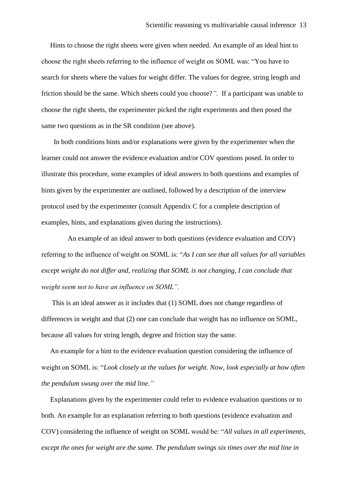Hints to choose the right sheets were given when needed. An example of an ideal hint to choose the right sheets referring to the influence of weight on SOML was: "You have to search for sheets where the values for weight differ. The values for degree, string length and friction should be the same. Which sheets could you choose?*".* If a participant was unable to choose the right sheets, the experimenter picked the right experiments and then posed the same two questions as in the SR condition (see above).

 In both conditions hints and/or explanations were given by the experimenter when the learner could not answer the evidence evaluation and/or COV questions posed. In order to illustrate this procedure, some examples of ideal answers to both questions and examples of hints given by the experimenter are outlined, followed by a description of the interview protocol used by the experimenter (consult Appendix C for a complete description of examples, hints, and explanations given during the instructions).

 An example of an ideal answer to both questions (evidence evaluation and COV) referring to the influence of weight on SOML is: "*As I can see that all values for all variables except weight do not differ and, realizing that SOML is not changing, I can conclude that weight seem not to have an influence on SOML".*

 This is an ideal answer as it includes that (1) SOML does not change regardless of differences in weight and that (2) one can conclude that weight has no influence on SOML, because all values for string length, degree and friction stay the same.

 An example for a hint to the evidence evaluation question considering the influence of weight on SOML is: "*Look closely at the values for weight. Now, look especially at how often the pendulum swung over the mid line."*

 Explanations given by the experimenter could refer to evidence evaluation questions or to both. An example for an explanation referring to both questions (evidence evaluation and COV) considering the influence of weight on SOML would be: "*All values in all experiments, except the ones for weight are the same. The pendulum swings six times over the mid line in*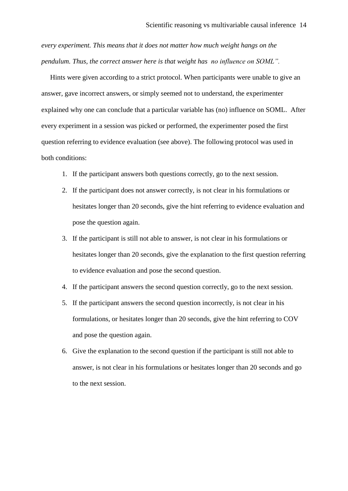*every experiment. This means that it does not matter how much weight hangs on the pendulum. Thus, the correct answer here is that weight has no influence on SOML".*

 Hints were given according to a strict protocol. When participants were unable to give an answer, gave incorrect answers, or simply seemed not to understand, the experimenter explained why one can conclude that a particular variable has (no) influence on SOML. After every experiment in a session was picked or performed, the experimenter posed the first question referring to evidence evaluation (see above). The following protocol was used in both conditions:

- 1. If the participant answers both questions correctly, go to the next session.
- 2. If the participant does not answer correctly, is not clear in his formulations or hesitates longer than 20 seconds, give the hint referring to evidence evaluation and pose the question again.
- 3. If the participant is still not able to answer, is not clear in his formulations or hesitates longer than 20 seconds, give the explanation to the first question referring to evidence evaluation and pose the second question.
- 4. If the participant answers the second question correctly, go to the next session.
- 5. If the participant answers the second question incorrectly, is not clear in his formulations, or hesitates longer than 20 seconds, give the hint referring to COV and pose the question again.
- 6. Give the explanation to the second question if the participant is still not able to answer, is not clear in his formulations or hesitates longer than 20 seconds and go to the next session.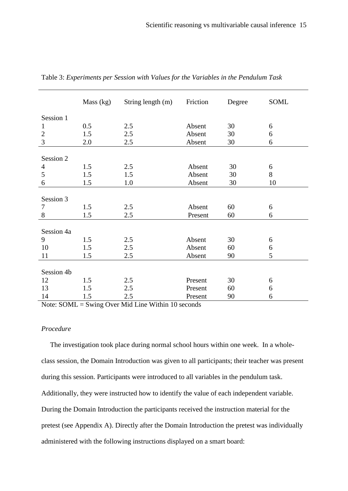|                | Mass (kg) | String length (m) | Friction | Degree | SOML |
|----------------|-----------|-------------------|----------|--------|------|
| Session 1      |           |                   |          |        |      |
| 1              | 0.5       | 2.5               | Absent   | 30     | 6    |
| $\overline{2}$ | 1.5       | 2.5               | Absent   | 30     | 6    |
| 3              | 2.0       | 2.5               | Absent   | 30     | 6    |
|                |           |                   |          |        |      |
| Session 2      |           |                   |          |        |      |
| 4              | 1.5       | 2.5               | Absent   | 30     | 6    |
| 5              | 1.5       | 1.5               | Absent   | 30     | 8    |
| 6              | 1.5       | 1.0               | Absent   | 30     | 10   |
|                |           |                   |          |        |      |
| Session 3      |           |                   |          |        |      |
| 7              | 1.5       | 2.5               | Absent   | 60     | 6    |
| 8              | 1.5       | 2.5               | Present  | 60     | 6    |
|                |           |                   |          |        |      |
| Session 4a     |           |                   |          |        |      |
| 9              | 1.5       | 2.5               | Absent   | 30     | 6    |
| 10             | 1.5       | 2.5               | Absent   | 60     | 6    |
| 11             | 1.5       | 2.5               | Absent   | 90     | 5    |
|                |           |                   |          |        |      |
| Session 4b     |           |                   |          |        |      |
| 12             | 1.5       | 2.5               | Present  | 30     | 6    |
| 13             | 1.5       | 2.5               | Present  | 60     | 6    |
| 14             | 1.5       | 2.5               | Present  | 90     | 6    |

Table 3: *Experiments per Session with Values for the Variables in the Pendulum Task*

Note: SOML = Swing Over Mid Line Within 10 seconds

### *Procedure*

 The investigation took place during normal school hours within one week. In a wholeclass session, the Domain Introduction was given to all participants; their teacher was present during this session. Participants were introduced to all variables in the pendulum task. Additionally, they were instructed how to identify the value of each independent variable. During the Domain Introduction the participants received the instruction material for the pretest (see Appendix A). Directly after the Domain Introduction the pretest was individually administered with the following instructions displayed on a smart board: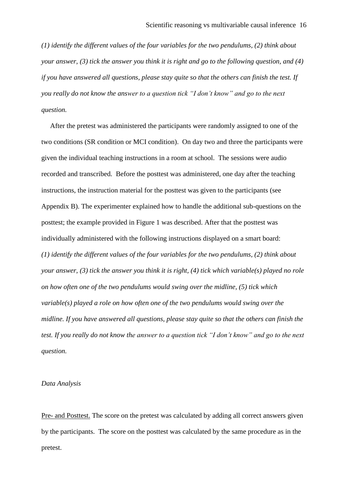*(1) identify the different values of the four variables for the two pendulums, (2) think about your answer, (3) tick the answer you think it is right and go to the following question, and (4) if you have answered all questions, please stay quite so that the others can finish the test. If you really do not know the answer to a question tick "I don't know" and go to the next question.*

 After the pretest was administered the participants were randomly assigned to one of the two conditions (SR condition or MCI condition). On day two and three the participants were given the individual teaching instructions in a room at school. The sessions were audio recorded and transcribed. Before the posttest was administered, one day after the teaching instructions, the instruction material for the posttest was given to the participants (see Appendix B). The experimenter explained how to handle the additional sub-questions on the posttest; the example provided in Figure 1 was described. After that the posttest was individually administered with the following instructions displayed on a smart board: *(1) identify the different values of the four variables for the two pendulums, (2) think about your answer, (3) tick the answer you think it is right, (4) tick which variable(s) played no role on how often one of the two pendulums would swing over the midline, (5) tick which variable(s) played a role on how often one of the two pendulums would swing over the midline. If you have answered all questions, please stay quite so that the others can finish the test. If you really do not know the answer to a question tick "I don't know" and go to the next question.*

#### *Data Analysis*

Pre- and Posttest. The score on the pretest was calculated by adding all correct answers given by the participants. The score on the posttest was calculated by the same procedure as in the pretest.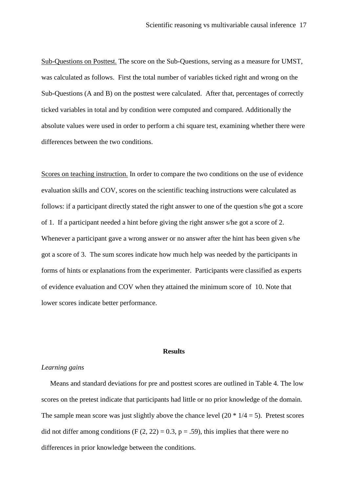Sub-Questions on Posttest. The score on the Sub-Questions, serving as a measure for UMST, was calculated as follows. First the total number of variables ticked right and wrong on the Sub-Questions (A and B) on the posttest were calculated. After that, percentages of correctly ticked variables in total and by condition were computed and compared. Additionally the absolute values were used in order to perform a chi square test, examining whether there were differences between the two conditions.

Scores on teaching instruction. In order to compare the two conditions on the use of evidence evaluation skills and COV, scores on the scientific teaching instructions were calculated as follows: if a participant directly stated the right answer to one of the question s/he got a score of 1. If a participant needed a hint before giving the right answer s/he got a score of 2. Whenever a participant gave a wrong answer or no answer after the hint has been given s/he got a score of 3. The sum scores indicate how much help was needed by the participants in forms of hints or explanations from the experimenter. Participants were classified as experts of evidence evaluation and COV when they attained the minimum score of 10. Note that lower scores indicate better performance.

#### **Results**

### *Learning gains*

 Means and standard deviations for pre and posttest scores are outlined in Table 4. The low scores on the pretest indicate that participants had little or no prior knowledge of the domain. The sample mean score was just slightly above the chance level  $(20 * 1/4 = 5)$ . Pretest scores did not differ among conditions (F  $(2, 22) = 0.3$ , p = .59), this implies that there were no differences in prior knowledge between the conditions.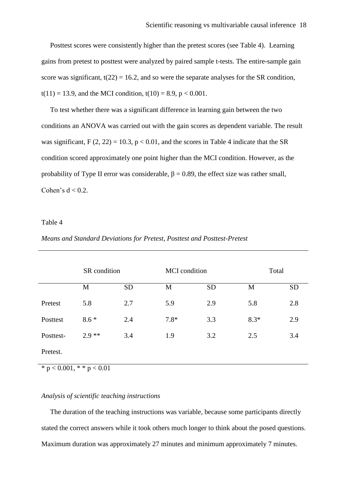Posttest scores were consistently higher than the pretest scores (see Table 4). Learning gains from pretest to posttest were analyzed by paired sample t-tests. The entire-sample gain score was significant,  $t(22) = 16.2$ , and so were the separate analyses for the SR condition,  $t(11) = 13.9$ , and the MCI condition,  $t(10) = 8.9$ ,  $p < 0.001$ .

 To test whether there was a significant difference in learning gain between the two conditions an ANOVA was carried out with the gain scores as dependent variable. The result was significant,  $F(2, 22) = 10.3$ ,  $p < 0.01$ , and the scores in Table 4 indicate that the SR condition scored approximately one point higher than the MCI condition. However, as the probability of Type II error was considerable,  $\beta = 0.89$ , the effect size was rather small, Cohen's  $d < 0.2$ .

#### Table 4

|           | SR condition |           | <b>MCI</b> condition |           | Total  |           |
|-----------|--------------|-----------|----------------------|-----------|--------|-----------|
|           | M            | <b>SD</b> | M                    | <b>SD</b> | M      | <b>SD</b> |
| Pretest   | 5.8          | 2.7       | 5.9                  | 2.9       | 5.8    | 2.8       |
| Posttest  | $8.6*$       | 2.4       | $7.8*$               | 3.3       | $8.3*$ | 2.9       |
| Posttest- | $2.9**$      | 3.4       | 1.9                  | 3.2       | 2.5    | 3.4       |
| Pretest.  |              |           |                      |           |        |           |

### *Means and Standard Deviations for Pretest, Posttest and Posttest-Pretest*

 $* p < 0.001, * p < 0.01$ 

### *Analysis of scientific teaching instructions*

 The duration of the teaching instructions was variable, because some participants directly stated the correct answers while it took others much longer to think about the posed questions. Maximum duration was approximately 27 minutes and minimum approximately 7 minutes.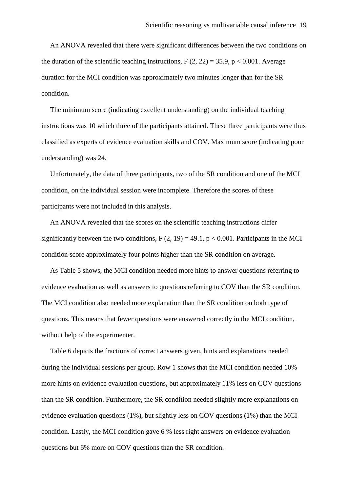An ANOVA revealed that there were significant differences between the two conditions on the duration of the scientific teaching instructions,  $F(2, 22) = 35.9$ ,  $p < 0.001$ . Average duration for the MCI condition was approximately two minutes longer than for the SR condition.

 The minimum score (indicating excellent understanding) on the individual teaching instructions was 10 which three of the participants attained. These three participants were thus classified as experts of evidence evaluation skills and COV. Maximum score (indicating poor understanding) was 24.

 Unfortunately, the data of three participants, two of the SR condition and one of the MCI condition, on the individual session were incomplete. Therefore the scores of these participants were not included in this analysis.

 An ANOVA revealed that the scores on the scientific teaching instructions differ significantly between the two conditions,  $F(2, 19) = 49.1$ ,  $p < 0.001$ . Participants in the MCI condition score approximately four points higher than the SR condition on average.

 As Table 5 shows, the MCI condition needed more hints to answer questions referring to evidence evaluation as well as answers to questions referring to COV than the SR condition. The MCI condition also needed more explanation than the SR condition on both type of questions. This means that fewer questions were answered correctly in the MCI condition, without help of the experimenter.

 Table 6 depicts the fractions of correct answers given, hints and explanations needed during the individual sessions per group. Row 1 shows that the MCI condition needed 10% more hints on evidence evaluation questions, but approximately 11% less on COV questions than the SR condition. Furthermore, the SR condition needed slightly more explanations on evidence evaluation questions (1%), but slightly less on COV questions (1%) than the MCI condition. Lastly, the MCI condition gave 6 % less right answers on evidence evaluation questions but 6% more on COV questions than the SR condition.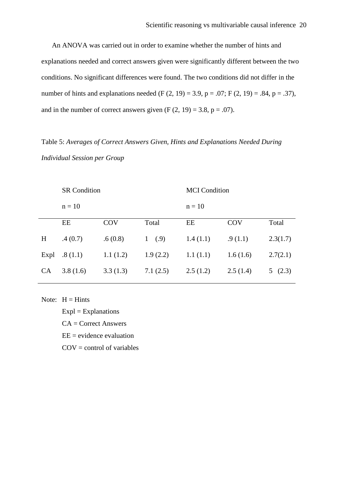An ANOVA was carried out in order to examine whether the number of hints and explanations needed and correct answers given were significantly different between the two conditions. No significant differences were found. The two conditions did not differ in the number of hints and explanations needed (F  $(2, 19) = 3.9$ , p = .07; F  $(2, 19) = .84$ , p = .37), and in the number of correct answers given  $(F (2, 19) = 3.8, p = .07)$ .

# Table 5: *Averages of Correct Answers Given, Hints and Explanations Needed During Individual Session per Group*

|          |            | <b>MCI</b> Condition |          |            |          |  |
|----------|------------|----------------------|----------|------------|----------|--|
| $n = 10$ |            | $n = 10$             |          |            |          |  |
| EE       | <b>COV</b> | Total                | EE       | <b>COV</b> | Total    |  |
| .4(0.7)  | .6(0.8)    | 1(0.9)               | 1.4(1.1) | .9(1.1)    | 2.3(1.7) |  |
| .8(1.1)  | 1.1(1.2)   | 1.9(2.2)             | 1.1(1.1) | 1.6(1.6)   | 2.7(2.1) |  |
| 3.8(1.6) | 3.3(1.3)   | 7.1(2.5)             | 2.5(1.2) | 2.5(1.4)   | 5(2.3)   |  |
|          |            | <b>SR</b> Condition  |          |            |          |  |

Note:  $H = Hints$ 

 $Expl = Explanations$  $CA = Correct$  Answers

 $EE = evidence evaluation$ 

 $COV =$  control of variables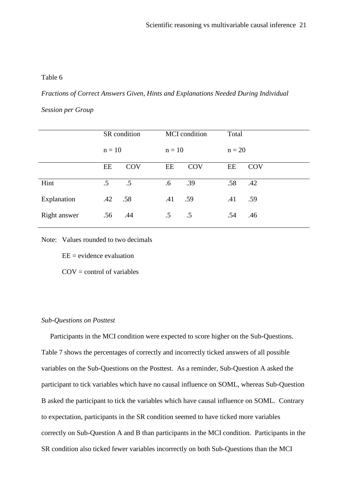#### Table 6

*Fractions of Correct Answers Given, Hints and Explanations Needed During Individual* 

*Session per Group*

|              |          | SR condition |          | <b>MCI</b> condition | Total    |     |
|--------------|----------|--------------|----------|----------------------|----------|-----|
|              | $n = 10$ |              | $n = 10$ |                      | $n = 20$ |     |
|              | EE       | <b>COV</b>   | EE       | <b>COV</b>           | EE       | COV |
| Hint         | $.5\,$   | $.5\,$       | $.6\,$   | .39                  | .58      | .42 |
| Explanation  | .42      | .58          | .41      | .59                  | .41      | .59 |
| Right answer | .56      | .44          | $.5\,$   | $.5\,$               | .54      | .46 |

Note: Values rounded to two decimals

 $EE = evidence evaluation$ 

 $COV =$  control of variables

### *Sub-Questions on Posttest*

 Participants in the MCI condition were expected to score higher on the Sub-Questions. Table 7 shows the percentages of correctly and incorrectly ticked answers of all possible variables on the Sub-Questions on the Posttest. As a reminder, Sub-Question A asked the participant to tick variables which have no causal influence on SOML, whereas Sub-Question B asked the participant to tick the variables which have causal influence on SOML. Contrary to expectation, participants in the SR condition seemed to have ticked more variables correctly on Sub-Question A and B than participants in the MCI condition. Participants in the SR condition also ticked fewer variables incorrectly on both Sub-Questions than the MCI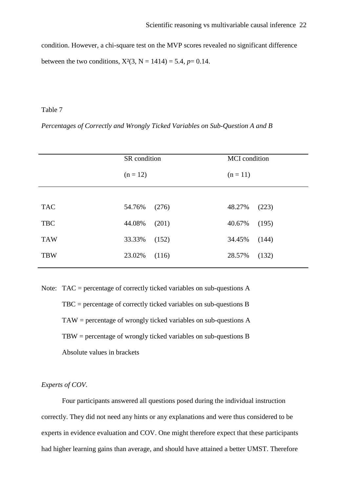condition. However, a chi-square test on the MVP scores revealed no significant difference between the two conditions,  $X^2(3, N = 1414) = 5.4$ ,  $p = 0.14$ .

### Table 7

*Percentages of Correctly and Wrongly Ticked Variables on Sub-Question A and B*

|            | SR condition    | <b>MCI</b> condition |  |  |
|------------|-----------------|----------------------|--|--|
|            | $(n = 12)$      | $(n = 11)$           |  |  |
|            |                 |                      |  |  |
| <b>TAC</b> | 54.76%<br>(276) | 48.27%<br>(223)      |  |  |
| <b>TBC</b> | 44.08%<br>(201) | 40.67%<br>(195)      |  |  |
| <b>TAW</b> | 33.33%<br>(152) | 34.45%<br>(144)      |  |  |
| <b>TBW</b> | 23.02%<br>(116) | 28.57%<br>(132)      |  |  |
|            |                 |                      |  |  |

Note: TAC = percentage of correctly ticked variables on sub-questions A TBC = percentage of correctly ticked variables on sub-questions B TAW = percentage of wrongly ticked variables on sub-questions A TBW = percentage of wrongly ticked variables on sub-questions B Absolute values in brackets

### *Experts of COV.*

Four participants answered all questions posed during the individual instruction correctly. They did not need any hints or any explanations and were thus considered to be experts in evidence evaluation and COV. One might therefore expect that these participants had higher learning gains than average, and should have attained a better UMST. Therefore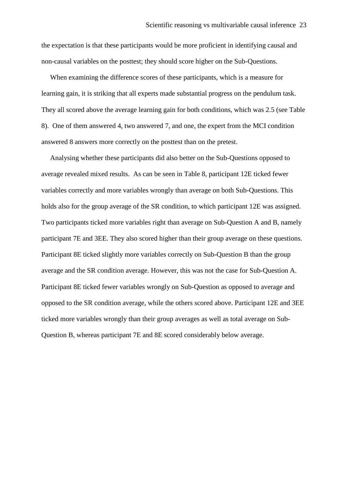the expectation is that these participants would be more proficient in identifying causal and non-causal variables on the posttest; they should score higher on the Sub-Questions.

 When examining the difference scores of these participants, which is a measure for learning gain, it is striking that all experts made substantial progress on the pendulum task. They all scored above the average learning gain for both conditions, which was 2.5 (see Table 8). One of them answered 4, two answered 7, and one, the expert from the MCI condition answered 8 answers more correctly on the posttest than on the pretest.

 Analysing whether these participants did also better on the Sub-Questions opposed to average revealed mixed results. As can be seen in Table 8, participant 12E ticked fewer variables correctly and more variables wrongly than average on both Sub-Questions. This holds also for the group average of the SR condition, to which participant 12E was assigned. Two participants ticked more variables right than average on Sub-Question A and B, namely participant 7E and 3EE. They also scored higher than their group average on these questions. Participant 8E ticked slightly more variables correctly on Sub-Question B than the group average and the SR condition average. However, this was not the case for Sub-Question A. Participant 8E ticked fewer variables wrongly on Sub-Question as opposed to average and opposed to the SR condition average, while the others scored above. Participant 12E and 3EE ticked more variables wrongly than their group averages as well as total average on Sub-Question B, whereas participant 7E and 8E scored considerably below average.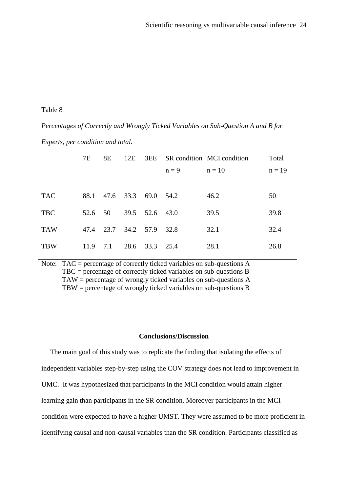### Table 8

### *Percentages of Correctly and Wrongly Ticked Variables on Sub-Question A and B for*

|            | 7E   | <b>8E</b> | 12E                 |                |         | 3EE SR condition MCI condition | Total    |
|------------|------|-----------|---------------------|----------------|---------|--------------------------------|----------|
|            |      |           |                     |                | $n = 9$ | $n = 10$                       | $n = 19$ |
|            |      |           |                     |                |         |                                |          |
| <b>TAC</b> | 88.1 |           | 47.6 33.3 69.0 54.2 |                |         | 46.2                           | 50       |
| <b>TBC</b> | 52.6 | 50        | 39.5 52.6           |                | 43.0    | 39.5                           | 39.8     |
| <b>TAW</b> | 47.4 | 23.7      | 34.2 57.9           |                | 32.8    | 32.1                           | 32.4     |
| <b>TBW</b> | 11.9 | 7.1       |                     | 28.6 33.3 25.4 |         | 28.1                           | 26.8     |

Note: TAC = percentage of correctly ticked variables on sub-questions A TBC = percentage of correctly ticked variables on sub-questions B TAW = percentage of wrongly ticked variables on sub-questions A TBW = percentage of wrongly ticked variables on sub-questions B

### **Conclusions/Discussion**

 The main goal of this study was to replicate the finding that isolating the effects of independent variables step-by-step using the COV strategy does not lead to improvement in UMC. It was hypothesized that participants in the MCI condition would attain higher learning gain than participants in the SR condition. Moreover participants in the MCI condition were expected to have a higher UMST. They were assumed to be more proficient in identifying causal and non-causal variables than the SR condition. Participants classified as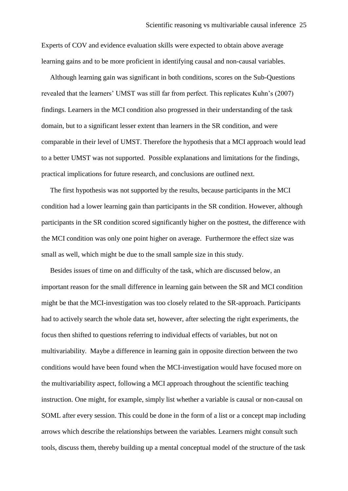Experts of COV and evidence evaluation skills were expected to obtain above average learning gains and to be more proficient in identifying causal and non-causal variables.

 Although learning gain was significant in both conditions, scores on the Sub-Questions revealed that the learners' UMST was still far from perfect. This replicates Kuhn's (2007) findings. Learners in the MCI condition also progressed in their understanding of the task domain, but to a significant lesser extent than learners in the SR condition, and were comparable in their level of UMST. Therefore the hypothesis that a MCI approach would lead to a better UMST was not supported. Possible explanations and limitations for the findings, practical implications for future research, and conclusions are outlined next.

 The first hypothesis was not supported by the results, because participants in the MCI condition had a lower learning gain than participants in the SR condition. However, although participants in the SR condition scored significantly higher on the posttest, the difference with the MCI condition was only one point higher on average. Furthermore the effect size was small as well, which might be due to the small sample size in this study.

 Besides issues of time on and difficulty of the task, which are discussed below, an important reason for the small difference in learning gain between the SR and MCI condition might be that the MCI-investigation was too closely related to the SR-approach. Participants had to actively search the whole data set, however, after selecting the right experiments, the focus then shifted to questions referring to individual effects of variables, but not on multivariability. Maybe a difference in learning gain in opposite direction between the two conditions would have been found when the MCI-investigation would have focused more on the multivariability aspect, following a MCI approach throughout the scientific teaching instruction. One might, for example, simply list whether a variable is causal or non-causal on SOML after every session. This could be done in the form of a list or a concept map including arrows which describe the relationships between the variables. Learners might consult such tools, discuss them, thereby building up a mental conceptual model of the structure of the task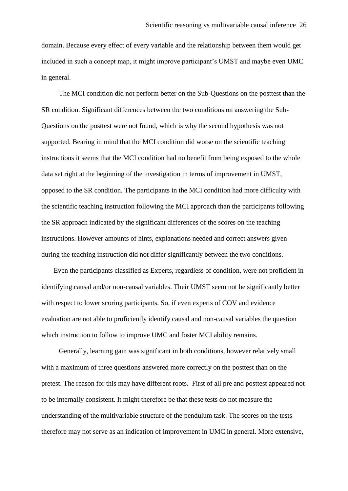domain. Because every effect of every variable and the relationship between them would get included in such a concept map, it might improve participant's UMST and maybe even UMC in general.

 The MCI condition did not perform better on the Sub-Questions on the posttest than the SR condition. Significant differences between the two conditions on answering the Sub-Questions on the posttest were not found, which is why the second hypothesis was not supported. Bearing in mind that the MCI condition did worse on the scientific teaching instructions it seems that the MCI condition had no benefit from being exposed to the whole data set right at the beginning of the investigation in terms of improvement in UMST, opposed to the SR condition. The participants in the MCI condition had more difficulty with the scientific teaching instruction following the MCI approach than the participants following the SR approach indicated by the significant differences of the scores on the teaching instructions. However amounts of hints, explanations needed and correct answers given during the teaching instruction did not differ significantly between the two conditions.

 Even the participants classified as Experts, regardless of condition, were not proficient in identifying causal and/or non-causal variables. Their UMST seem not be significantly better with respect to lower scoring participants. So, if even experts of COV and evidence evaluation are not able to proficiently identify causal and non-causal variables the question which instruction to follow to improve UMC and foster MCI ability remains.

 Generally, learning gain was significant in both conditions, however relatively small with a maximum of three questions answered more correctly on the posttest than on the pretest. The reason for this may have different roots. First of all pre and posttest appeared not to be internally consistent. It might therefore be that these tests do not measure the understanding of the multivariable structure of the pendulum task. The scores on the tests therefore may not serve as an indication of improvement in UMC in general. More extensive,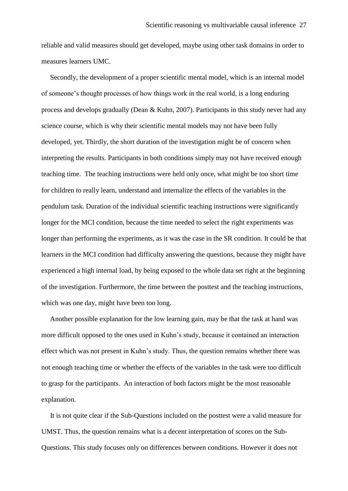reliable and valid measures should get developed, maybe using other task domains in order to measures learners UMC.

 Secondly, the development of a proper scientific mental model, which is an internal model of someone's thought processes of how things work in the real world, is a long enduring process and develops gradually (Dean & Kuhn, 2007). Participants in this study never had any science course, which is why their scientific mental models may not have been fully developed, yet. Thirdly, the short duration of the investigation might be of concern when interpreting the results. Participants in both conditions simply may not have received enough teaching time. The teaching instructions were held only once, what might be too short time for children to really learn, understand and internalize the effects of the variables in the pendulum task. Duration of the individual scientific teaching instructions were significantly longer for the MCI condition, because the time needed to select the right experiments was longer than performing the experiments, as it was the case in the SR condition. It could be that learners in the MCI condition had difficulty answering the questions, because they might have experienced a high internal load, by being exposed to the whole data set right at the beginning of the investigation. Furthermore, the time between the posttest and the teaching instructions, which was one day, might have been too long.

 Another possible explanation for the low learning gain, may be that the task at hand was more difficult opposed to the ones used in Kuhn's study, because it contained an interaction effect which was not present in Kuhn's study. Thus, the question remains whether there was not enough teaching time or whether the effects of the variables in the task were too difficult to grasp for the participants. An interaction of both factors might be the most reasonable explanation.

 It is not quite clear if the Sub-Questions included on the posttest were a valid measure for UMST. Thus, the question remains what is a decent interpretation of scores on the Sub-Questions. This study focuses only on differences between conditions. However it does not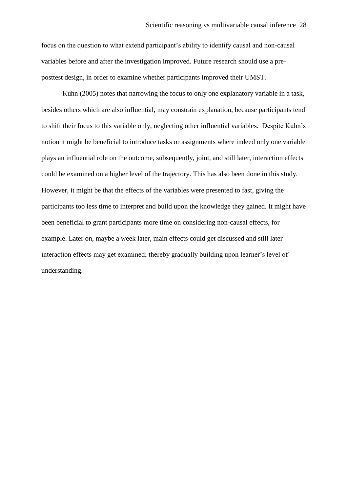focus on the question to what extend participant's ability to identify causal and non-causal variables before and after the investigation improved. Future research should use a preposttest design, in order to examine whether participants improved their UMST.

 Kuhn (2005) notes that narrowing the focus to only one explanatory variable in a task, besides others which are also influential, may constrain explanation, because participants tend to shift their focus to this variable only, neglecting other influential variables. Despite Kuhn's notion it might be beneficial to introduce tasks or assignments where indeed only one variable plays an influential role on the outcome, subsequently, joint, and still later, interaction effects could be examined on a higher level of the trajectory. This has also been done in this study. However, it might be that the effects of the variables were presented to fast, giving the participants too less time to interpret and build upon the knowledge they gained. It might have been beneficial to grant participants more time on considering non-causal effects, for example. Later on, maybe a week later, main effects could get discussed and still later interaction effects may get examined; thereby gradually building upon learner's level of understanding.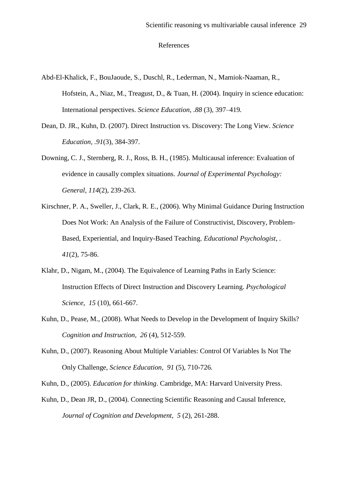#### References

- Abd-El-Khalick, F., BouJaoude, S., Duschl, R., Lederman, N., Mamiok-Naaman, R., Hofstein, A., Niaz, M., Treagust, D., & Tuan, H. (2004). Inquiry in science education: International perspectives. *Science Education, .88* (3)*,* 397–419*.*
- Dean, D. JR., Kuhn, D. (2007). Direct Instruction vs. Discovery: The Long View. *Science Education, .91*(3), 384-397.
- Downing, C. J., Sternberg, R. J., Ross, B. H., (1985). Multicausal inference: Evaluation of evidence in causally complex situations. *Journal of Experimental Psychology: General, 114*(2), 239-263.
- Kirschner, P. A., Sweller, J., Clark, R. E., (2006). Why Minimal Guidance During Instruction Does Not Work: An Analysis of the Failure of Constructivist, Discovery, Problem-Based, Experiential, and Inquiry-Based Teaching. *Educational Psychologist*, *. 41*(2), 75-86.
- Klahr, D., Nigam, M., (2004). The Equivalence of Learning Paths in Early Science: Instruction Effects of Direct Instruction and Discovery Learning. *Psychological Science, 15* (10), 661-667.
- Kuhn, D., Pease, M., (2008). What Needs to Develop in the Development of Inquiry Skills? *Cognition and Instruction, 26* (4), 512-559.
- Kuhn, D., (2007). Reasoning About Multiple Variables: Control Of Variables Is Not The Only Challenge, *Science Education, 91* (5), 710-726*.*

Kuhn, D., (2005). *Education for thinking*. Cambridge*,* MA: Harvard University Press.

Kuhn, D., Dean JR, D., (2004). Connecting Scientific Reasoning and Causal Inference, *Journal of Cognition and Development, 5* (2), 261-288.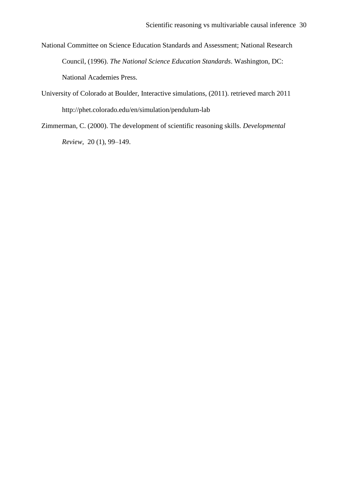- National Committee on Science Education Standards and Assessment; National Research Council, (1996). *The National Science Education Standards*. Washington, DC: National Academies Press.
- University of Colorado at Boulder, Interactive simulations, (2011). retrieved march 2011 http://phet.colorado.edu/en/simulation/pendulum-lab
- Zimmerman, C. (2000). The development of scientific reasoning skills. *Developmental Review*, 20 (1), 99–149.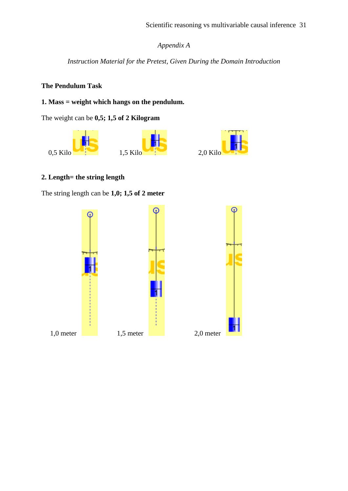# *Appendix A*

*Instruction Material for the Pretest, Given During the Domain Introduction*

### **The Pendulum Task**

# **1. Mass = weight which hangs on the pendulum.**

The weight can be **0,5; 1,5 of 2 Kilogram**



## **2. Length= the string length**

The string length can be **1,0; 1,5 of 2 meter**

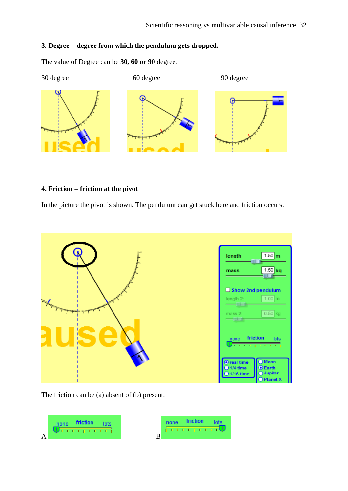# **3. Degree = degree from which the pendulum gets dropped.**

The value of Degree can be **30, 60 or 90** degree.



### **4. Friction = friction at the pivot**

In the picture the pivot is shown. The pendulum can get stuck here and friction occurs.



The friction can be (a) absent of (b) present.

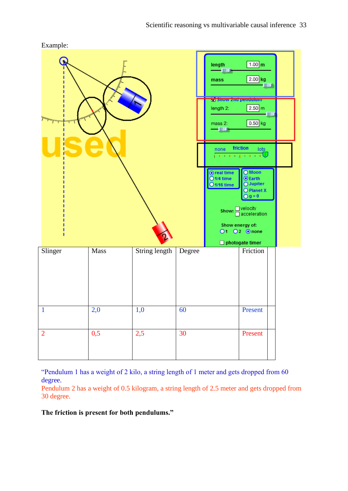

"Pendulum 1 has a weight of 2 kilo, a string length of 1 meter and gets dropped from 60 degree.

Pendulum 2 has a weight of 0.5 kilogram, a string length of 2.5 meter and gets dropped from 30 degree.

**The friction is present for both pendulums."**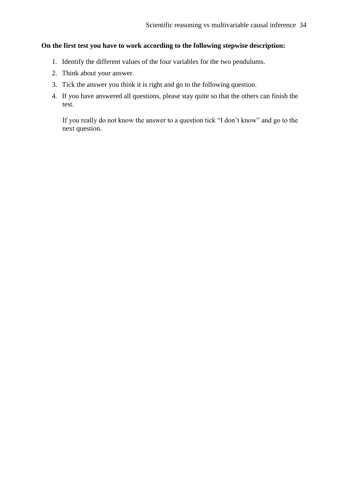# **On the first test you have to work according to the following stepwise description:**

- 1. Identify the different values of the four variables for the two pendulums.
- 2. Think about your answer.
- 3. Tick the answer you think it is right and go to the following question.
- 4. If you have answered all questions, please stay quite so that the others can finish the test.

If you really do not know the answer to a question tick "I don't know" and go to the next question.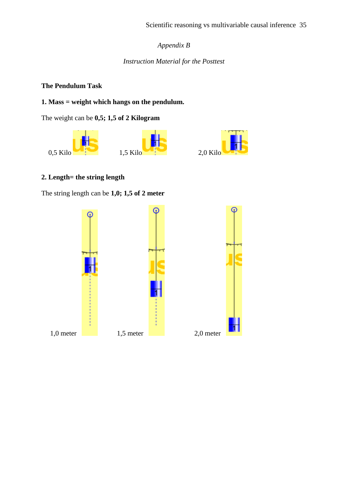# *Appendix B*

# *Instruction Material for the Posttest*

### **The Pendulum Task**

# **1. Mass = weight which hangs on the pendulum.**

The weight can be **0,5; 1,5 of 2 Kilogram**



# **2. Length= the string length**

The string length can be **1,0; 1,5 of 2 meter**

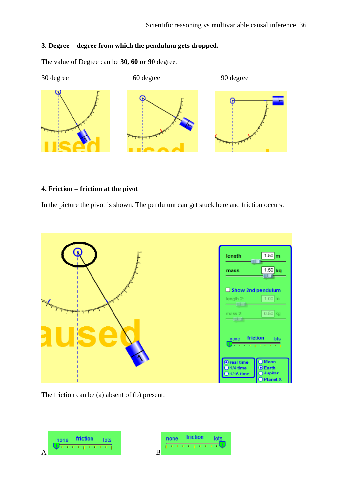### **3. Degree = degree from which the pendulum gets dropped.**

The value of Degree can be **30, 60 or 90** degree.



# **4. Friction = friction at the pivot**

In the picture the pivot is shown. The pendulum can get stuck here and friction occurs.



The friction can be (a) absent of (b) present.



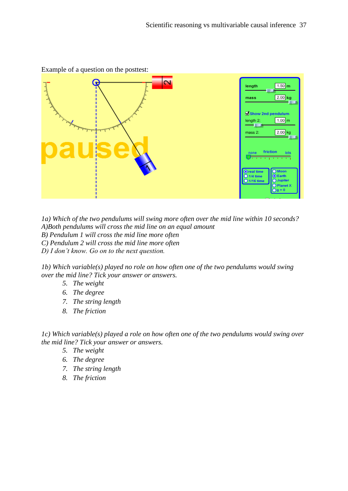

Example of a question on the posttest:

*1a) Which of the two pendulums will swing more often over the mid line within 10 seconds? A)Both pendulums will cross the mid line on an equal amount B) Pendulum 1 will cross the mid line more often*

*C) Pendulum 2 will cross the mid line more often*

*D) I don't know. Go on to the next question.* 

*1b) Which variable(s) played no role on how often one of the two pendulums would swing over the mid line? Tick your answer or answers.*

- *5. The weight*
- *6. The degree*
- *7. The string length*
- *8. The friction*

*1c) Which variable(s) played a role on how often one of the two pendulums would swing over the mid line? Tick your answer or answers.*

- *5. The weight*
- *6. The degree*
- *7. The string length*
- *8. The friction*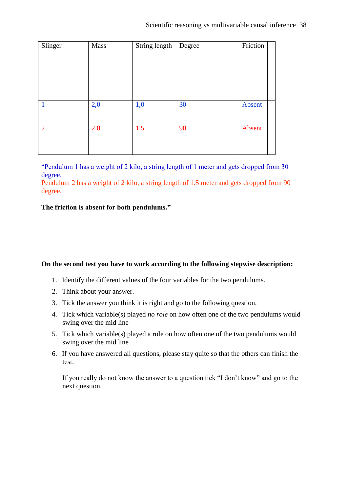| Slinger        | <b>Mass</b> | String length | Degree | Friction |
|----------------|-------------|---------------|--------|----------|
|                |             |               |        |          |
|                |             |               |        |          |
|                |             |               |        |          |
|                |             |               |        |          |
|                |             |               |        |          |
|                |             |               |        |          |
| $\mathbf{1}$   | 2,0         | 1,0           | 30     | Absent   |
|                |             |               |        |          |
|                |             |               |        |          |
| $\overline{2}$ | 2,0         | 1,5           | 90     | Absent   |
|                |             |               |        |          |
|                |             |               |        |          |

"Pendulum 1 has a weight of 2 kilo, a string length of 1 meter and gets dropped from 30 degree.

Pendulum 2 has a weight of 2 kilo, a string length of 1.5 meter and gets dropped from 90 degree.

### **The friction is absent for both pendulums."**

### **On the second test you have to work according to the following stepwise description:**

- 1. Identify the different values of the four variables for the two pendulums.
- 2. Think about your answer.
- 3. Tick the answer you think it is right and go to the following question.
- 4. Tick which variable(s) played *no role* on how often one of the two pendulums would swing over the mid line
- 5. Tick which variable(s) played a role on how often one of the two pendulums would swing over the mid line
- 6. If you have answered all questions, please stay quite so that the others can finish the test.

If you really do not know the answer to a question tick "I don't know" and go to the next question.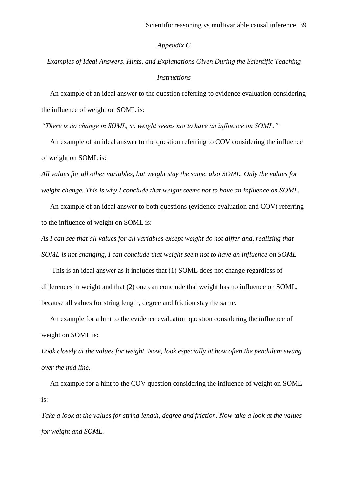#### *Appendix C*

# *Examples of Ideal Answers, Hints, and Explanations Given During the Scientific Teaching Instructions*

 An example of an ideal answer to the question referring to evidence evaluation considering the influence of weight on SOML is:

*"There is no change in SOML, so weight seems not to have an influence on SOML."*

 An example of an ideal answer to the question referring to COV considering the influence of weight on SOML is:

*All values for all other variables, but weight stay the same, also SOML. Only the values for weight change. This is why I conclude that weight seems not to have an influence on SOML.* 

 An example of an ideal answer to both questions (evidence evaluation and COV) referring to the influence of weight on SOML is:

*As I can see that all values for all variables except weight do not differ and, realizing that SOML is not changing, I can conclude that weight seem not to have an influence on SOML.*

 This is an ideal answer as it includes that (1) SOML does not change regardless of differences in weight and that (2) one can conclude that weight has no influence on SOML, because all values for string length, degree and friction stay the same.

 An example for a hint to the evidence evaluation question considering the influence of weight on SOML is:

*Look closely at the values for weight. Now, look especially at how often the pendulum swung over the mid line.*

 An example for a hint to the COV question considering the influence of weight on SOML is:

*Take a look at the values for string length, degree and friction. Now take a look at the values for weight and SOML.*